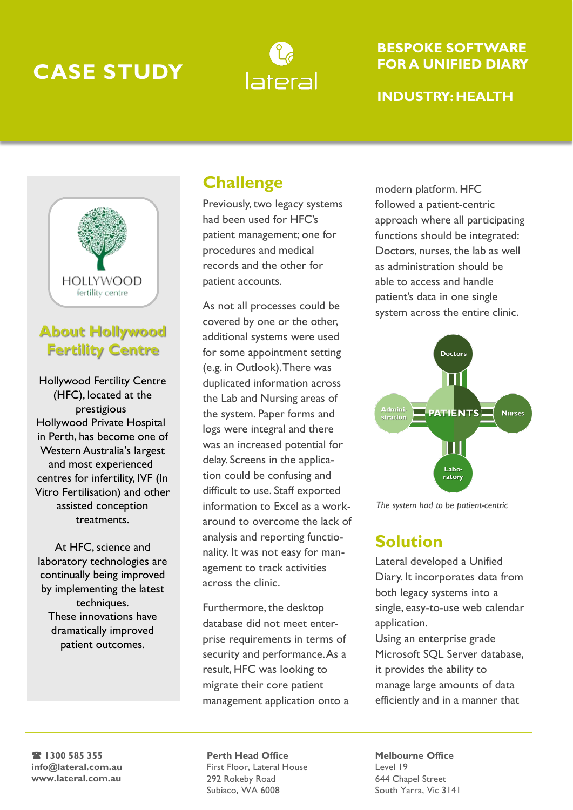# **CASE STUDY**



#### **BESPOKE SOFTWARE FOR A UNIFIED DIARY**

#### **INDUSTRY: HEALTH**



## **About Hollywood Fertility Centre**

Hollywood Fertility Centre (HFC), located at the prestigious Hollywood Private Hospital in Perth, has become one of Western Australia's largest and most experienced centres for infertility, IVF (In Vitro Fertilisation) and other assisted conception treatments.

At HFC, science and laboratory technologies are continually being improved by implementing the latest techniques. These innovations have dramatically improved patient outcomes.

## **Challenge**

Previously, two legacy systems had been used for HFC's patient management; one for procedures and medical records and the other for patient accounts.

As not all processes could be covered by one or the other, additional systems were used for some appointment setting (e.g. in Outlook). There was duplicated information across the Lab and Nursing areas of the system. Paper forms and logs were integral and there was an increased potential for delay. Screens in the application could be confusing and difficult to use. Staff exported information to Excel as a workaround to overcome the lack of analysis and reporting functionality. It was not easy for management to track activities across the clinic.

Furthermore, the desktop database did not meet enterprise requirements in terms of security and performance. As a result, HFC was looking to migrate their core patient management application onto a modern platform. HFC followed a patient-centric approach where all participating functions should be integrated: Doctors, nurses, the lab as well as administration should be able to access and handle patient's data in one single system across the entire clinic.



*The system had to be patient-centric*

### **Solution**

Lateral developed a Unified Diary. It incorporates data from both legacy systems into a single, easy-to-use web calendar application.

Using an enterprise grade Microsoft SQL Server database, it provides the ability to manage large amounts of data efficiently and in a manner that

( **1300 585 355 info@lateral.com.au www.lateral.com.au**

**Perth Head Office** First Floor, Lateral House 292 Rokeby Road Subiaco, WA 6008

**Melbourne Office** Level 19 644 Chapel Street South Yarra, Vic 3141